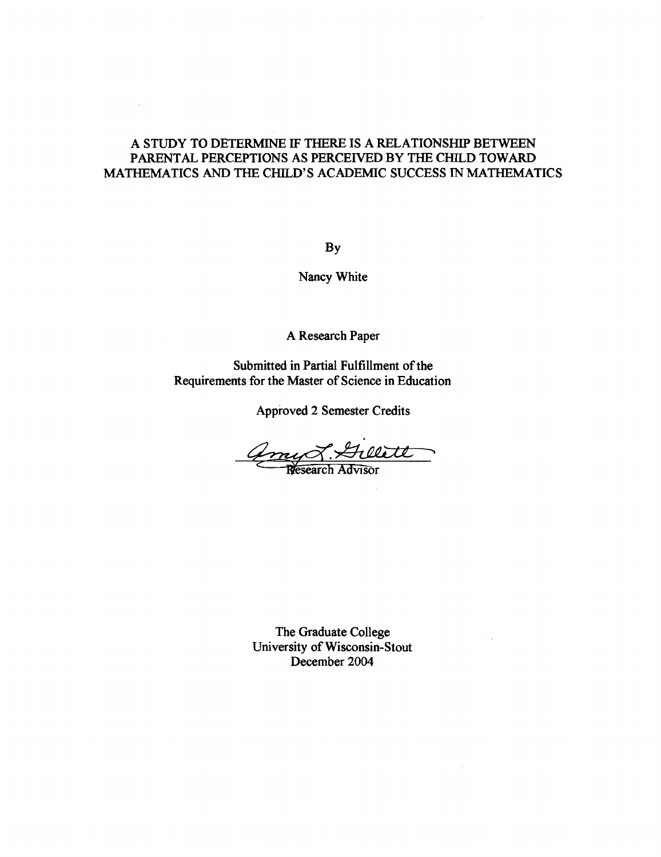# A STUDY TO DETERMINE IF THERE IS A RELATIONSHIP BETWEEN PARENTAL PERCEPTIONS AS PERCEIVED BY **THE** CHlLD TOWARD MATHEMATICS AND THE CHILD'S ACADEMIC SUCCESS IN MATHEMATICS

 $\mathcal{L}$ 

BY

Nancy White

A Research Paper

Submitted in Partial Fulfillment of the Requirements for the Master of Science in Education

Approved 2 Semester Credits

amy 8. Gillett

The Graduate College University of Wisconsin-Stout December 2004

 $\mathbb{R}^2$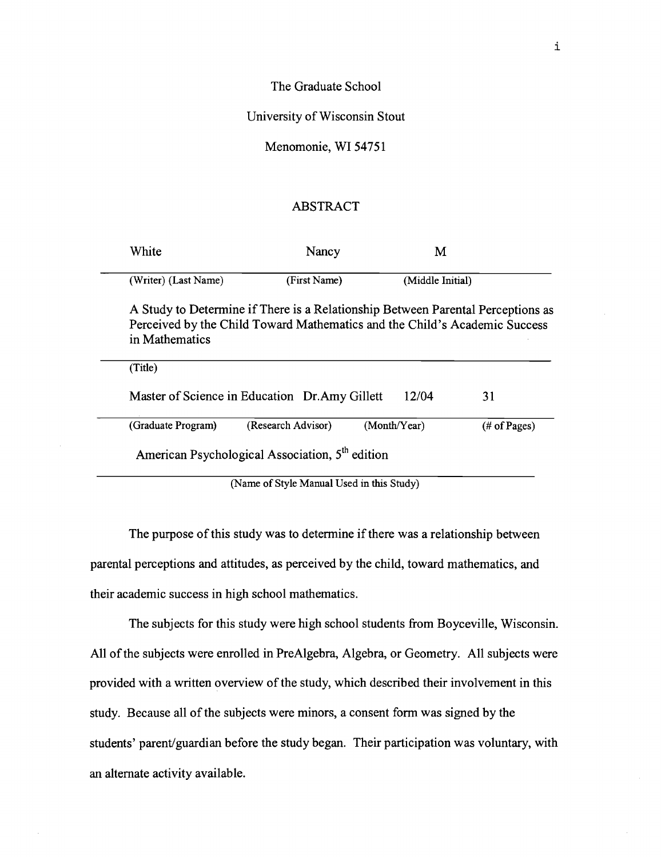## The Graduate School

## University of Wisconsin Stout

#### Menomonie, WI **5475 1**

### ABSTRACT

| White                | Nancy                                                                                                                                                         | М                |    |
|----------------------|---------------------------------------------------------------------------------------------------------------------------------------------------------------|------------------|----|
| (Writer) (Last Name) | (First Name)                                                                                                                                                  | (Middle Initial) |    |
| in Mathematics       | A Study to Determine if There is a Relationship Between Parental Perceptions as<br>Perceived by the Child Toward Mathematics and the Child's Academic Success |                  |    |
|                      |                                                                                                                                                               |                  |    |
| (Title)              |                                                                                                                                                               |                  |    |
|                      | Master of Science in Education Dr.Amy Gillett                                                                                                                 | 12/04            | 31 |

(Name of Style Manual Used in this Study)

The purpose of this study was to determine if there was a relationship between parental perceptions and attitudes, as perceived by the child, toward mathematics, and their academic success in high school mathematics.

The subjects for this study were high school students from Boyceville, Wisconsin. All of the subjects were enrolled in PreAlgebra, Algebra, or Geometry. All subjects were provided with a written overview of the study, which described their involvement in this study. Because all of the subjects were minors, a consent form was signed by the students' parent/guardian before the study began. Their participation was voluntary, with an alternate activity available.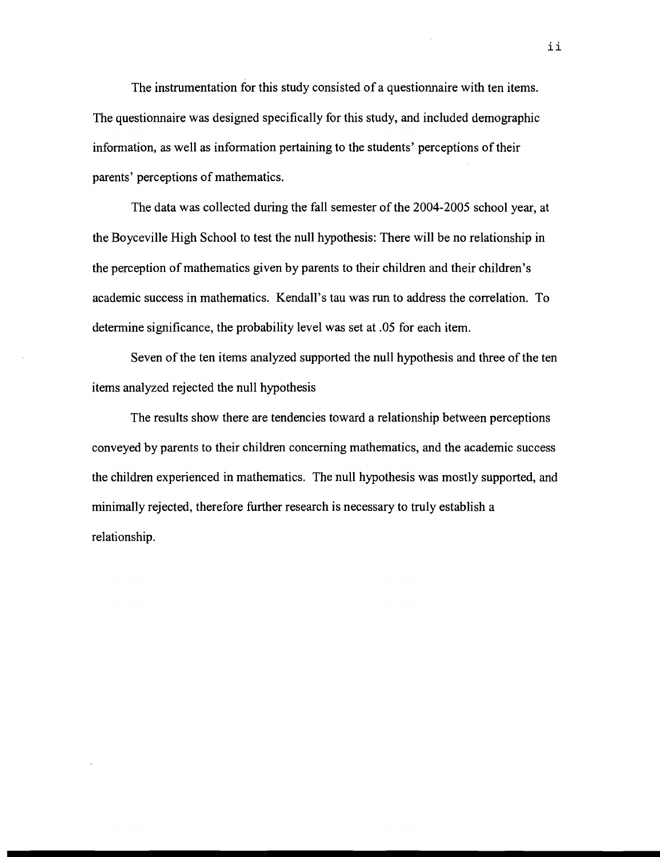The instrumentation for this study consisted of a questionnaire with ten items. The questionnaire was designed specifically for this study, and included demographic information, as well as information pertaining to the students' perceptions of their parents' perceptions of mathematics.

The data was collected during the fall semester of the 2004-2005 school year, at the Boyceville High School to test the null hypothesis: There will be no relationship in the perception of mathematics given by parents to their children and their children's academic success in mathematics. Kendall's tau was run to address the correlation. To determine significance, the probability level was set at .05 for each item.

Seven of the ten items analyzed supported the null hypothesis and three of the ten items analyzed rejected the null hypothesis

The results show there are tendencies toward a relationship between perceptions conveyed by parents to their children concerning mathematics, and the academic success the children experienced in mathematics. The null hypothesis was mostly supported, and minimally rejected, therefore further research is necessary to truly establish a relationship.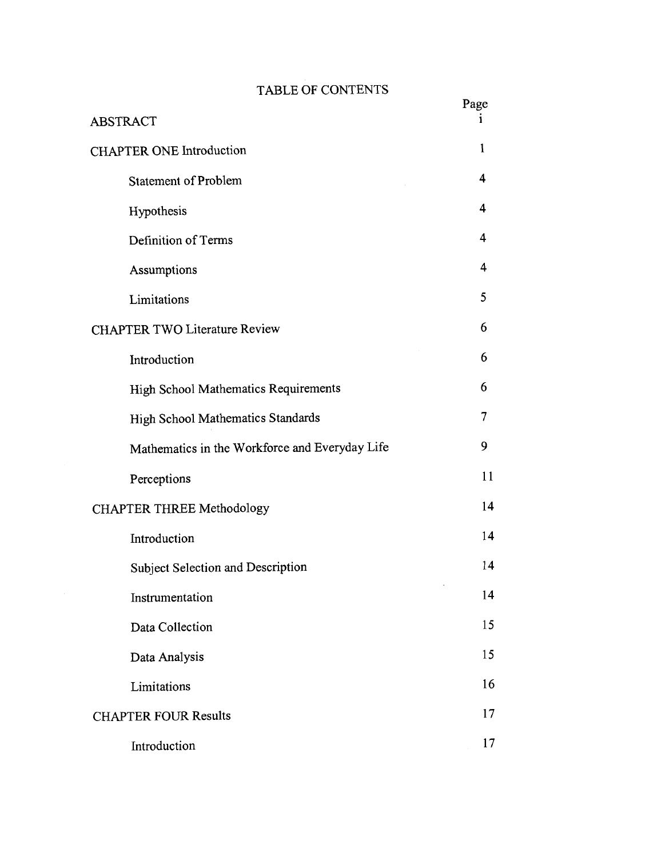# TABLE OF CONTENTS

| <b>ABSTRACT</b>                                | Page |
|------------------------------------------------|------|
| <b>CHAPTER ONE Introduction</b>                | 1    |
| <b>Statement of Problem</b>                    | 4    |
| Hypothesis                                     | 4    |
| Definition of Terms                            | 4    |
| Assumptions                                    | 4    |
| Limitations                                    | 5    |
| <b>CHAPTER TWO Literature Review</b>           | 6    |
| Introduction                                   | 6    |
| High School Mathematics Requirements           | 6    |
| High School Mathematics Standards              | 7    |
| Mathematics in the Workforce and Everyday Life | 9    |
| Perceptions                                    | 11   |
| <b>CHAPTER THREE Methodology</b>               | 14   |
| Introduction                                   | 14   |
| Subject Selection and Description              | 14   |
| Instrumentation                                | 14   |
| Data Collection                                | 15   |
| Data Analysis                                  | 15   |
| Limitations                                    | 16   |
| <b>CHAPTER FOUR Results</b>                    | 17   |
| Introduction                                   | 17   |

 $\sim 10^6$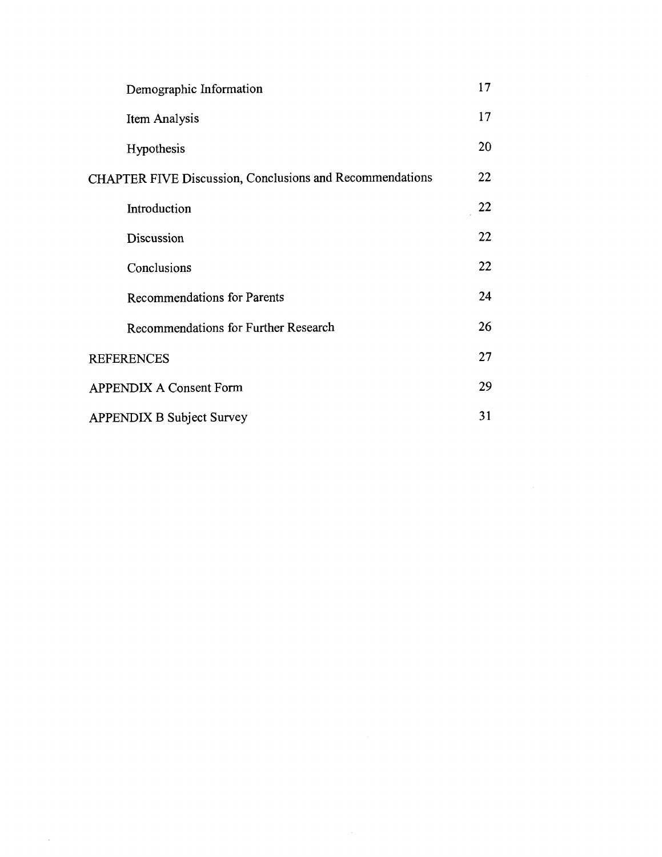| Demographic Information                                         | 17 |
|-----------------------------------------------------------------|----|
| Item Analysis                                                   | 17 |
| Hypothesis                                                      | 20 |
| <b>CHAPTER FIVE Discussion, Conclusions and Recommendations</b> | 22 |
| Introduction                                                    | 22 |
| Discussion                                                      | 22 |
| Conclusions                                                     | 22 |
| <b>Recommendations for Parents</b>                              | 24 |
| Recommendations for Further Research                            | 26 |
| <b>REFERENCES</b>                                               | 27 |
| <b>APPENDIX A Consent Form</b>                                  | 29 |
| <b>APPENDIX B Subject Survey</b>                                | 31 |

 $\sim 10^{11}$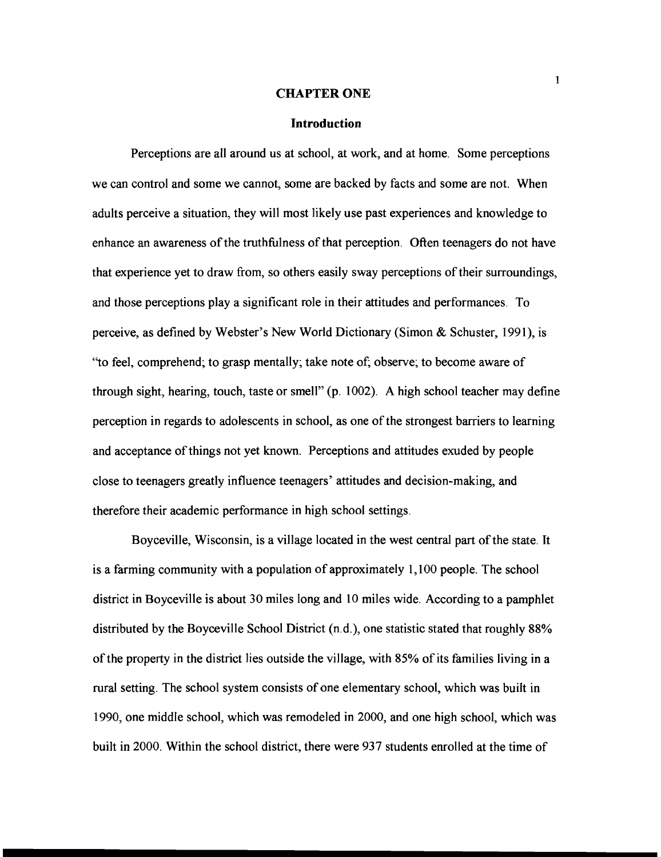#### **CHAPTER ONE**

#### **Introduction**

Perceptions are all around us at school, at work, and at home. Some perceptions we can control and some we cannot, some are backed by facts and some are not. When adults perceive a situation, they will most likely use past experiences and knowledge to enhance an awareness of the truthfulness of that perception. Often teenagers do not have that experience yet to draw from, so others easily sway perceptions of their surroundings, and those perceptions play a significant role in their attitudes and performances. To perceive, as defined by Webster's New World Dictionary (Simon & Schuster, 1991), is "to feel, comprehend; to grasp mentally; take note of; observe; to become aware of through sight, hearing, touch, taste or smell" (p. 1002). A high school teacher may define perception in regards to adolescents in school, as one of the strongest barriers to learning and acceptance of things not yet known. Perceptions and attitudes exuded by people close to teenagers greatly influence teenagers' attitudes and decision-making, and therefore their academic performance in high school settings.

Boyceville, Wisconsin, is a village located in the west central part of the state. It is a farming community with a population of approximately 1,100 people. The school district in Boyceville is about 30 miles long and 10 miles wide. According to a pamphlet distributed by the Boyceville School District (n.d.), one statistic stated that roughly **88%**  of the property in the district lies outside the village, with **85%** of its families living in a rural setting. The school system consists of one elementary school, which was built in 1990, one middle school, which was remodeled in 2000, and one high school, which was built in 2000. Within the school district, there were 937 students enrolled at the time of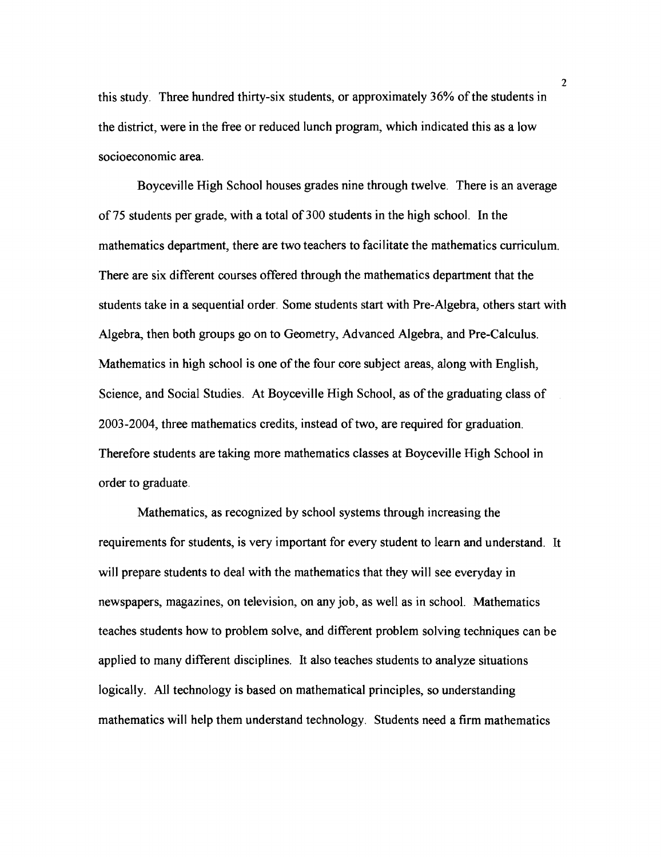this study. Three hundred thirty-six students, or approximately 36% of the students in the district, were in the free or reduced lunch program, which indicated this as a low socioeconomic area.

Boyceville High School houses grades nine through twelve. There is an average of 75 students per grade, with a total of 300 students in the high school. In the mathematics department, there are two teachers to facilitate the mathematics curriculum. There are six different courses offered through the mathematics department that the students take in a sequential order. Some students start with Pre-Algebra, others start with Algebra, then both groups go on to Geometry, Advanced Algebra, and Pre-Calculus. Mathematics in high school is one of the four core subject areas, along with English, Science, and Social Studies. At Boyceville High School, as of the graduating class of 2003-2004, three mathematics credits, instead of two, are required for graduation. Therefore students are taking more mathematics classes at Boyceville High School in order to graduate.

Mathematics, as recognized by school systems through increasing the requirements for students, is very important for every student to learn and understand. It will prepare students to deal with the mathematics that they will see everyday in newspapers, magazines, on television, on any job, as well as in school. Mathematics teaches students how to problem solve, and different problem solving techniques can be applied to many different disciplines. It also teaches students to analyze situations logically. All technology is based on mathematical principles, so understanding mathematics will help them understand technology. Students need a firm mathematics

**2**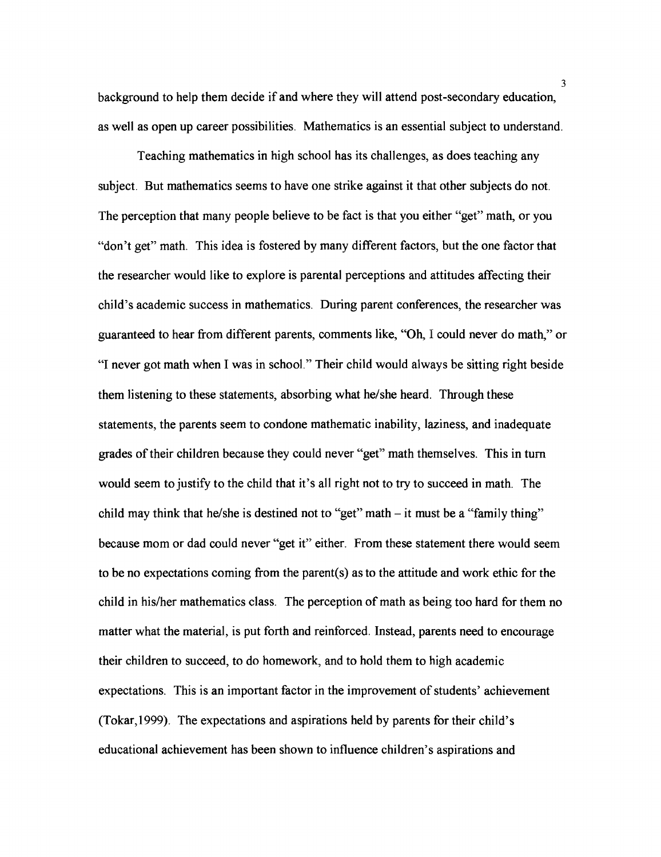background to help them decide if and where they will attend post-secondary education, as well as open up career possibilities. Mathematics is an essential subject to understand.

Teaching mathematics in high school has its challenges, as does teaching any subject. But mathematics seems to have one strike against it that other subjects do not. The perception that many people believe to be fact is that you either "get" math, or you "don't get" math. This idea is fostered by many different factors, but the one factor that the researcher would like to explore is parental perceptions and attitudes affecting their child's academic success in mathematics. During parent conferences, the researcher was guaranteed to hear from different parents, comments like, "Oh, I could never do math," or ''I never got math when I was in school." Their child would always be sitting right beside them listening to these statements, absorbing what he/she heard. Through these statements, the parents seem to condone mathematic inability, laziness, and inadequate grades of their children because they could never "get" math themselves. This in turn would seem to justify to the child that it's all right not to try to succeed in math. The child may think that he/she is destined not to "get" math  $-$  it must be a "family thing" because mom or dad could never "get it" either. From these statement there would seem to be no expectations coming from the parent(s) as to the attitude and work ethic for the child in his/her mathematics class. The perception of math as being too hard for them no matter what the material, is put forth and reinforced. Instead, parents need to encourage their children to succeed, to do homework, and to hold them to high academic expectations. This is an important factor in the improvement of students' achievement (Tokar,1999). The expectations and aspirations held by parents for their child's educational achievement has been shown to influence children's aspirations and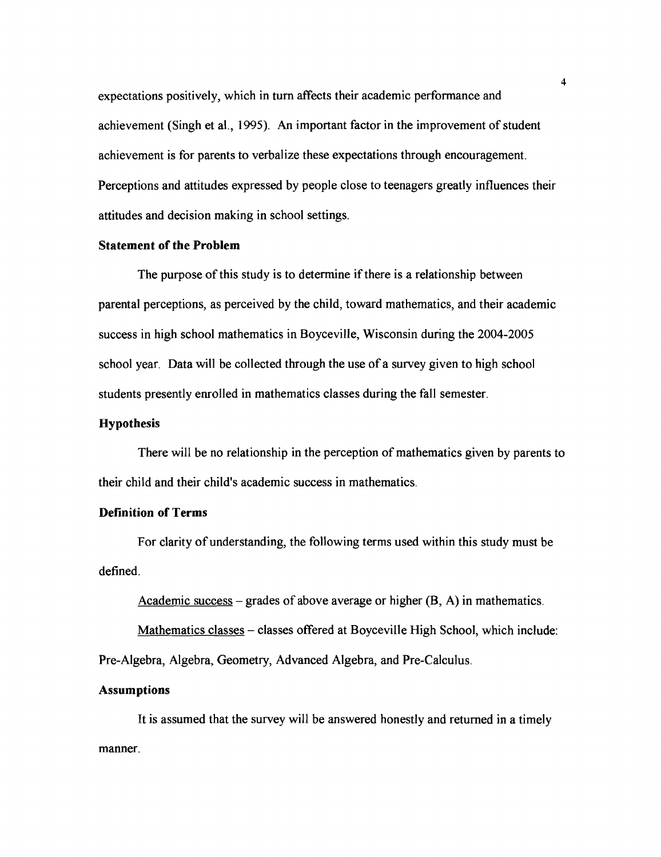expectations positively, which in turn affects their academic performance and achievement (Singh et al., 1995). An important factor in the improvement of student achievement is for parents to verbalize these expectations through encouragement. Perceptions and attitudes expressed by people close to teenagers greatly influences their attitudes and decision making in school settings.

## **Statement of the Problem**

The purpose of this study is to determine if there is a relationship between parental perceptions, as perceived by the child, toward mathematics, and their academic success in high school mathematics in Boyceville, Wisconsin during the 2004-2005 school year. Data will be collected through the use of a survey given to high school students presently enrolled in mathematics classes during the fall semester.

## **Hypothesis**

There will be no relationship in the perception of mathematics given by parents to their child and their child's academic success in mathematics.

#### **Definition of Terms**

For clarity of understanding, the following terms used within this study must be defined.

Academic success – grades of above average or higher  $(B, A)$  in mathematics.

Mathematics classes - classes offered at Boyceville High School, which include:

Pre-Algebra, Algebra, Geometry, Advanced Algebra, and Pre-Calculus.

## **Assumptions**

It is assumed that the survey will be answered honestly and returned in a timely manner.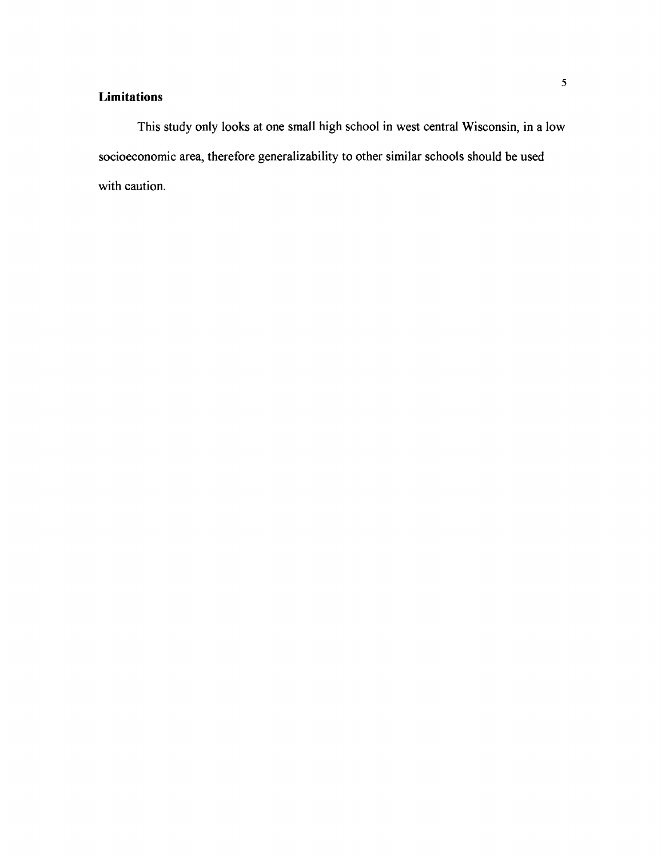# **Limitations**

This study only looks at one small high school in west central Wisconsin, in a low socioeconomic area, therefore generalizability to other similar schools should be used with caution.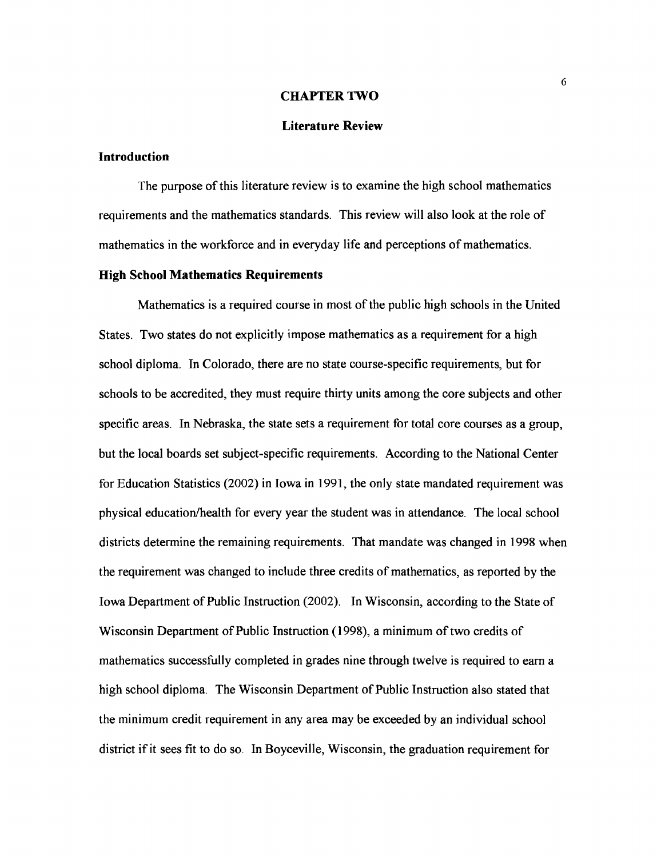#### **CHAPTER TWO**

## **Literature Review**

## **Introduction**

The purpose of this literature review is to examine the high school mathematics requirements and the mathematics standards. This review will also look at the role of mathematics in the workforce and in everyday life and perceptions of mathematics.

#### **High School Mathematics Requirements**

Mathematics is a required course in most of the public high schools in the United States. Two states do not explicitly impose mathematics as a requirement for a high school diploma. In Colorado, there are no state course-specific requirements, but for schools to be accredited, they must require thirty units among the core subjects and other specific areas. In Nebraska, the state sets a requirement for total core courses as a group, but the local boards set subject-specific requirements. According to the National Center for Education Statistics (2002) in Iowa in 1991, the only state mandated requirement was physical education/health for every year the student was in attendance. The local school districts determine the remaining requirements. That mandate was changed in 1998 when the requirement was changed to include three credits of mathematics, as reported by the Iowa Department of Public Instruction (2002). In Wisconsin, according to the State of Wisconsin Department of Public Instruction (1998), a minimum of two credits of mathematics successfully completed in grades nine through twelve is required to earn a high school diploma. The Wisconsin Department of Public Instruction also stated that the minimum credit requirement in any area may be exceeded by an individual school district if it sees fit to do so. In Boyceville, Wisconsin, the graduation requirement for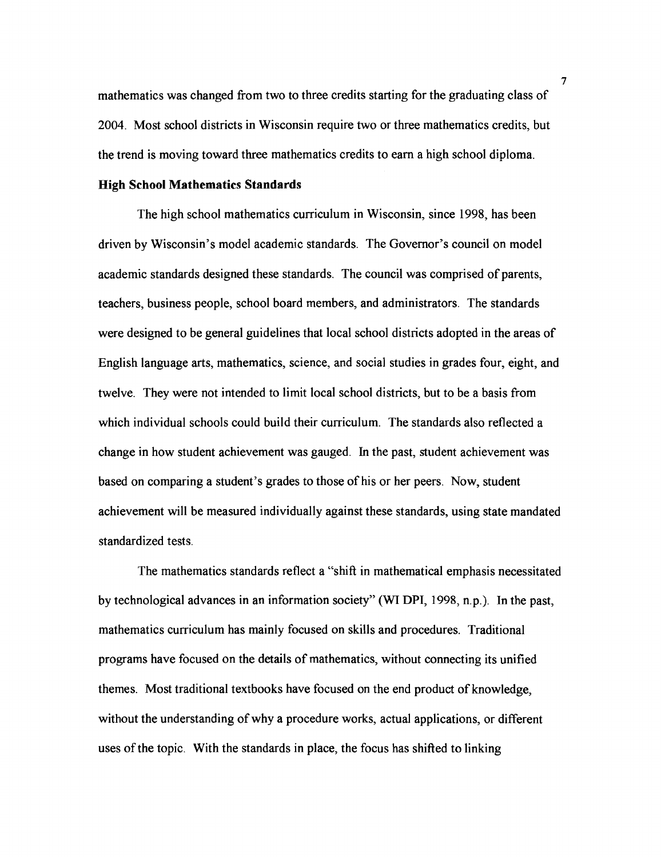mathematics was changed from two to three credits starting for the graduating class of 2004. Most school districts in Wisconsin require two or three mathematics credits, but the trend is moving toward three mathematics credits to earn a high school diploma.

#### **High School Mathematics Standards**

The high school mathematics curriculum in Wisconsin, since 1998, has been driven by Wisconsin's model academic standards. The Governor's council on model academic standards designed these standards. The council was comprised of parents, teachers, business people, school board members, and administrators. The standards were designed to be general guidelines that local school districts adopted in the areas of English language arts, mathematics, science, and social studies in grades four, eight, and twelve. They were not intended to limit local school districts, but to be a basis from which individual schools could build their curriculum. The standards also reflected a change in how student achievement was gauged. In the past, student achievement was based on comparing a student's grades to those of his or her peers. Now, student achievement will be measured individually against these standards, using state mandated standardized tests.

The mathematics standards reflect a "shifl in mathematical emphasis necessitated by technological advances in an information society" **(WI** DPI, 1998, n.p.). In the past, mathematics curriculum has mainly focused on skills and procedures. Traditional programs have focused on the details of mathematics, without connecting its unified themes. Most traditional textbooks have focused on the end product of knowledge, without the understanding of why a procedure works, actual applications, or different uses of the topic. With the standards in place, the focus has shifted to linking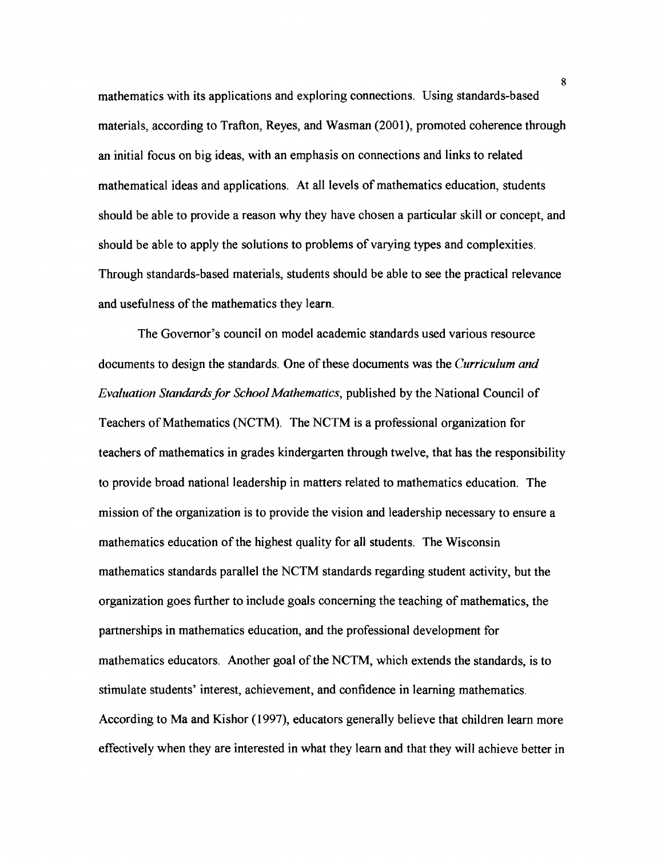mathematics with its applications and exploring connections. Using standards-based materials, according to Trafton, Reyes, and Wasman (2001), promoted coherence through an initial focus on big ideas, with an emphasis on connections and links to related mathematical ideas and applications. At all levels of mathematics education, students should be able to provide a reason why they have chosen a particular skill or concept, and should be able to apply the solutions to problems of varying types and complexities. Through standards-based materials, students should be able to see the practical relevance and usefulness of the mathematics they learn.

The Governor's council on model academic standards used various resource documents to design the standards. One of these documents was the *Curriculum and* Evaluation Standards for School Mathematics, published by the National Council of Teachers of Mathematics (NCTM). The NCTM is a professional organization for teachers of mathematics in grades kindergarten through twelve, that has the responsibility to provide broad national leadership in matters related to mathematics education. The mission of the organization is to provide the vision and leadership necessary to ensure a mathematics education of the highest quality for all students. The Wisconsin mathematics standards parallel the NCTM standards regarding student activity, but the organization goes further to include gods concerning the teaching of mathematics, the partnerships in mathematics education, and the professional development for mathematics educators. Another goal of the NCTM, which extends the standards, is to stimulate students' interest, achievement, and confidence in learning mathematics. According to Ma and Kishor (1997), educators generally believe that children learn more effectively when they are interested in what they learn and that they will achieve better in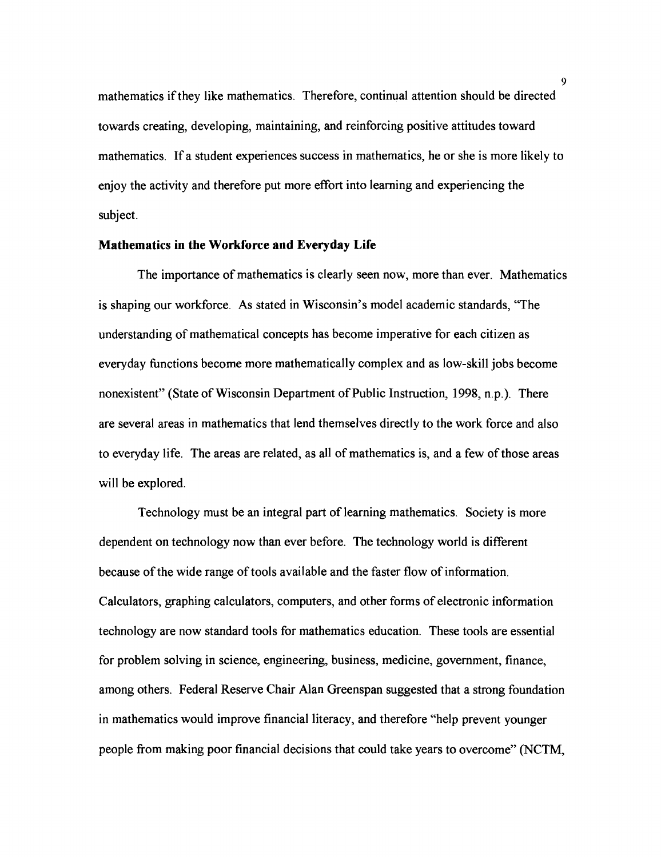mathematics if they like mathematics. Therefore, continual attention should be directed towards creating, developing, maintaining, and reinforcing positive attitudes toward mathematics, If a student experiences success in mathematics, he or she is more likely to enjoy the activity and therefore put more effort into learning and experiencing the subject.

#### **Mathematics in the Workforce and Everyday Life**

The importance of mathematics is clearly seen now, more than ever. Mathematics is shaping our workforce. As stated in Wisconsin's model academic standards, "The understanding of mathematical concepts has become imperative for each citizen as everyday functions become more mathematically complex and as low-skill jobs become nonexistent" (State of Wisconsin Department of Public Instruction, 1998, n.p.). There are several areas in mathematics that lend themselves directly to the work force and also to everyday life. The areas are related, as all of mathematics is, and a few of those areas will be explored.

Technology must be an integral part of learning mathematics. Society is more dependent on technology now than ever before. The technology world is different because of the wide range of tools available and the faster flow of information. Calculators, graphing calculators, computers, and other forms of electronic information technology are now standard tools for mathematics education. These tools are essential for problem solving in science, engineering, business, medicine, government, finance, among others. Federal Reserve Chair Alan Greenspan suggested that a strong foundation in mathematics would improve financial literacy, and therefore "help prevent younger people from making poor financial decisions that could take years to overcome" (NCTM,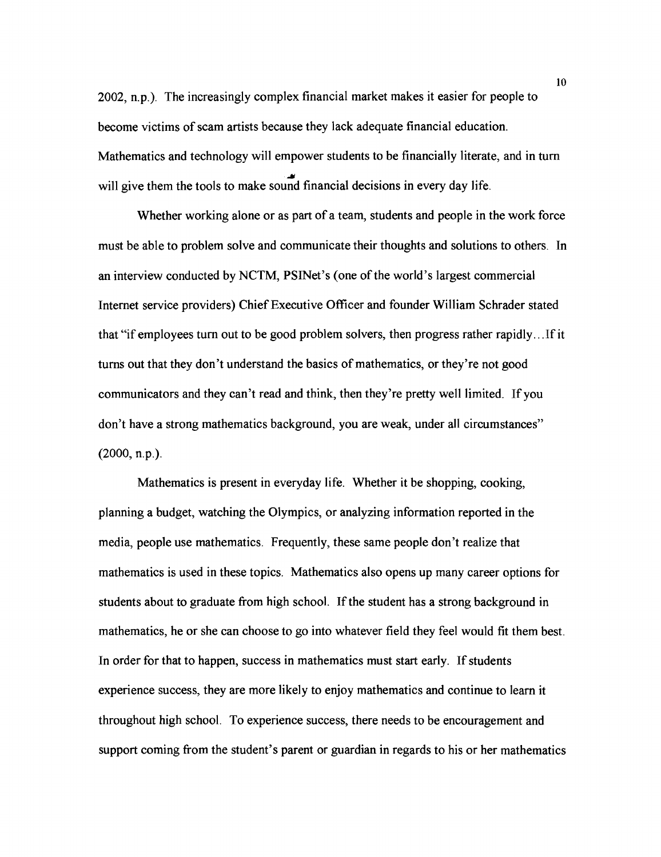2002, n.p.). The increasingly complex financial market makes it easier for people to become victims of scam artists because they lack adequate financial education. Mathematics and technology will empower students to be financially literate, and in turn **Y**  will give them the tools to make sound financial decisions in every day life.

Whether working alone or as part of a team, students and people in the work force must be able to problem solve and communicate their thoughts and solutions to others. In an interview conducted by NCTM, PSINet's (one of the world's largest commercial Internet service providers) Chief Executive Officer and founder William Schrader stated that "if employees turn out to be good problem solvers, then progress rather rapidly.. .If it turns out that they don't understand the basics of mathematics, or they're not good communicators and they can't read and think, then they're pretty well limited. If you don't have a strong mathematics background, you are weak, under all circumstances" (2000, n.p.).

Mathematics is present in everyday life. Whether it be shopping, cooking, planning a budget, watching the Olympics, or analyzing information reported in the media, people use mathematics. Frequently, these same people don't realize that mathematics is used in these topics. Mathematics also opens up many career options for students about to graduate from high school. If the student has a strong background in mathematics, he or she can choose to go into whatever field they feel would fit them best. In order for that to happen, success in mathematics must start early. If students experience success, they are more likely to enjoy mathematics and continue to learn it throughout high school. To experience success, there needs to be encouragement and support coming from the student's parent or guardian in regards to his or her mathematics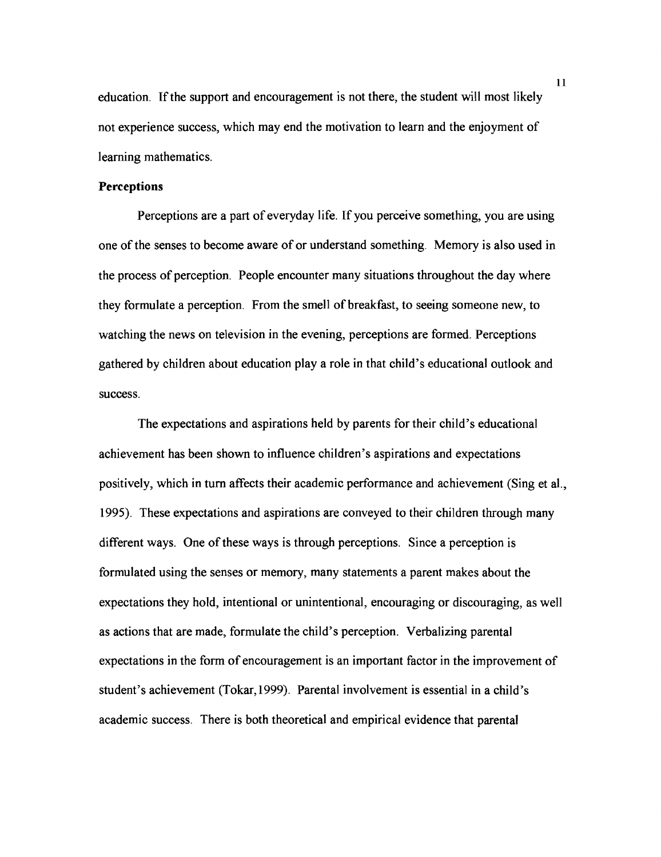education. If the support and encouragement is not there, the student will most likely not experience success, which may end the motivation to learn and the enjoyment of learning mathematics.

## **Perceptions**

Perceptions are a part of everyday life. If you perceive something, you are using one of the senses to become aware of or understand something. Memory is also used in the process of perception. People encounter many situations throughout the day where they formulate a perception. From the smell of breakfast, to seeing someone new, to watching the news on television in the evening, perceptions are formed. Perceptions gathered by children about education play a role in that child's educational outlook and success.

The expectations and aspirations held by parents for their child's educational achievement has been shown to influence children's aspirations and expectations positively, which in turn affects their academic performance and achievement (Sing et al., **1995).** These expectations and aspirations are conveyed to their children through many different ways. One of these ways is through perceptions. Since a perception is formulated using the senses or memory, many statements a parent makes about the expectations they hold, intentional or unintentional, encouraging or discouraging, as well as actions that are made, formulate the child's perception. Verbalizing parental expectations in the form of encouragement is an important factor in the improvement of student's achievement (Tokar, **1999).** Parental involvement is essential in a child's academic success. There is both theoretical and empirical evidence that parental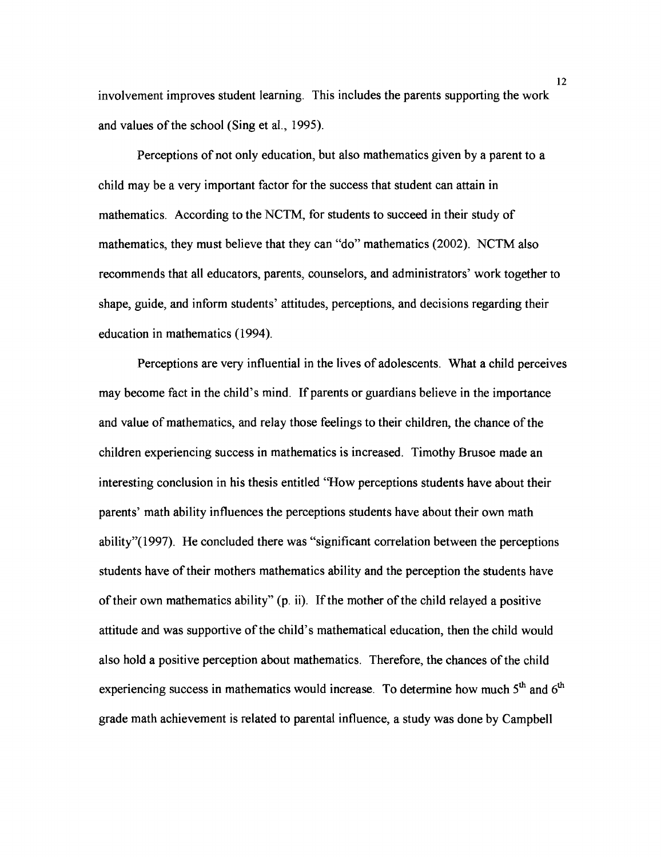involvement improves student learning. This includes the parents supporting the work and values of the school (Sing et al., 1995).

Perceptions of not only education, but also mathematics given by a parent to a child may be a very important factor for the success that student can attain in mathematics. According to the NCTM, for students to succeed in their study of mathematics, they must believe that they can "do" mathematics (2002). NCTM also recommends that all educators, parents, counselors, and administrators' work together to shape, guide, and inform students' attitudes, perceptions, and decisions regarding their education in mathematics (1994).

Perceptions are very influential in the lives of adolescents. What a child perceives may become fact in the child's mind. If parents or guardians believe in the importance and value of mathematics, and relay those feelings to their children, the chance of the children experiencing success in mathematics is increased. Timothy Brusoe made an interesting conclusion in his thesis entitled 'Wow perceptions students have about their parents' math ability influences the perceptions students have about their own math ability" $(1997)$ . He concluded there was "significant correlation between the perceptions students have of their mothers mathematics ability and the perception the students have of their own mathematics ability" (p. ii). If the mother of the child relayed a positive attitude and was supportive of the child's mathematical education, then the child would also hold a positive perception about mathematics. Therefore, the chances of the child experiencing success in mathematics would increase. To determine how much  $5<sup>th</sup>$  and  $6<sup>th</sup>$ grade math achievement is related to parental influence, a study was done by Campbell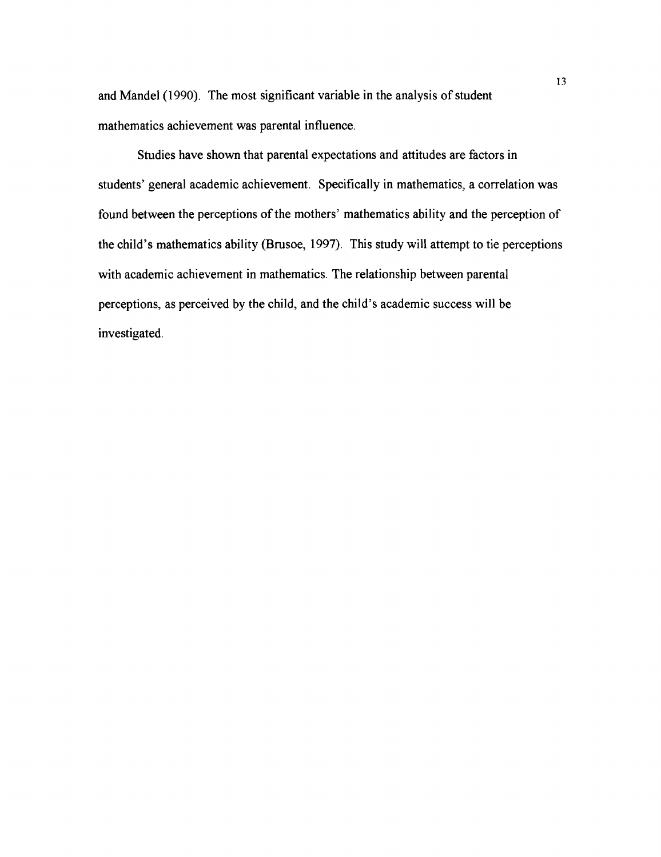and Mandel (1990). The most significant variable in the analysis of student mathematics achievement was parental influence.

Studies have shown that parental expectations and attitudes are factors in students' general academic achievement. Specifically in mathematics, a correlation was found between the perceptions of the mothers' mathematics ability and the perception of the child's mathematics ability (Brusoe, 1997). This study will attempt to tie perceptions with academic achievement in mathematics. The relationship between parental perceptions, as perceived by the child, and the child's academic success will be investigated.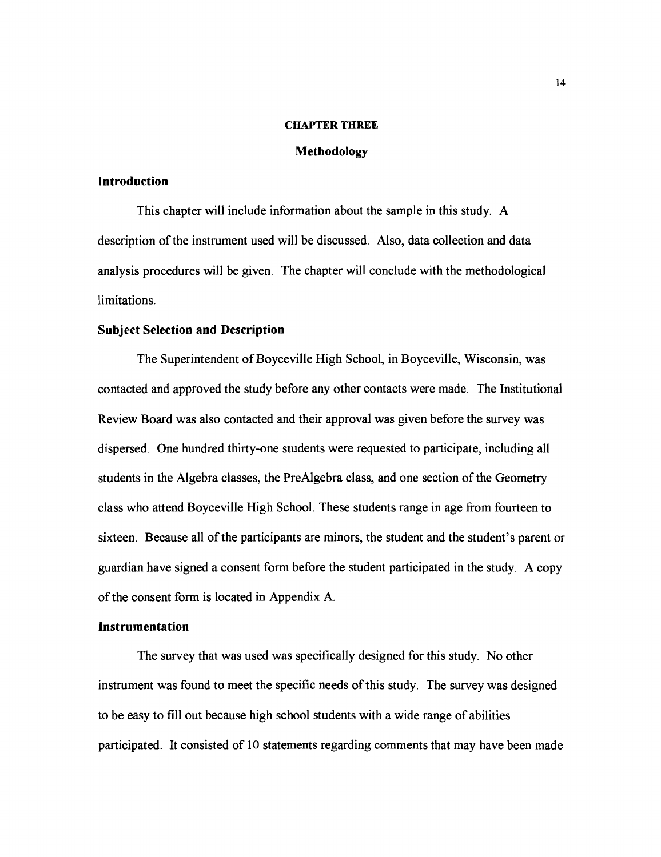#### **CHAPTER THREE**

## **Methodology**

## **Introduction**

This chapter will include information about the sample in this study. A description of the instrument used will be discussed. Also, data collection and data analysis procedures will be given. The chapter will conclude with the methodological limitations.

#### **Subject Selection and Description**

The Superintendent of Boyceville High School, in Boyceville, Wisconsin, was contacted and approved the study before any other contacts were made. The Institutional Review Board was also contacted and their approval was given before the survey was dispersed. One hundred thirty-one students were requested to participate, including all students in the Algebra classes, the PreAlgebra class, and one section of the Geometry class who attend Boyceville High School. These students range in age from fourteen to sixteen. Because all of the participants are minors, the student and the student's parent or guardian have signed a consent form before the student participated in the study. A copy of the consent form is located in Appendix A.

#### **Instrumentation**

The survey that was used was specifically designed for this study. No other instrument was found to meet the specific needs of this study. The survey was designed to be easy to fill out because high school students with a wide range of abilities participated. It consisted of 10 statements regarding comments that may have been made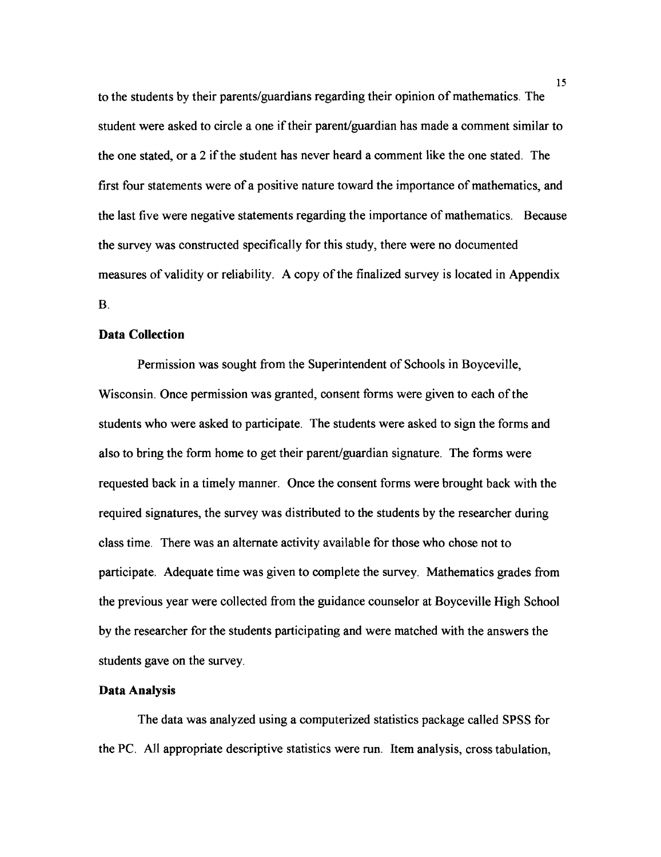to the students by their parents/guardians regarding their opinion of mathematics. The student were asked to circle a one if their parent/guardian has made a comment similar to the one stated, or a 2 if the student has never heard a comment like the one stated. The first four statements were of a positive nature toward the importance of mathematics, and the last five were negative statements regarding the importance of mathematics. Because the survey was constructed specifically for this study, there were no documented measures of validity or reliability. A copy of the finalized survey is located in Appendix B.

## **Data Collection**

Permission was sought from the Superintendent of Schools in Boyceville, Wisconsin. Once permission was granted, consent forms were given to each of the students who were asked to participate. The students were asked to sign the forms and also to bring the form home to get their parent/guardian signature. The forms were requested back in a timely manner. Once the consent forms were brought back with the required signatures, the survey was distributed to the students by the researcher during class time. There was an alternate activity available for those who chose not to participate. Adequate time was given to complete the survey. Mathematics grades from the previous year were collected from the guidance counselor at Boyceville High School by the researcher for the students participating and were matched with the answers the students gave on the survey.

## **Data Analysis**

The data was analyzed using a computerized statistics package called SPSS for the PC. All appropriate descriptive statistics were run. Item analysis, cross tabulation,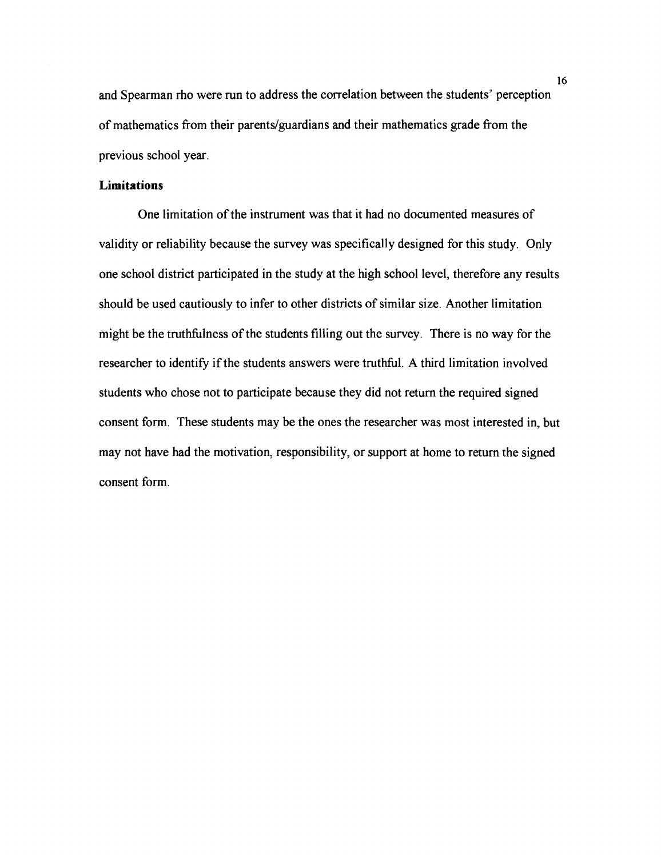and Spearman rho were run to address the correlation between the students' perception of mathematics from their parents/guardians and their mathematics grade from the previous school year.

# **Limitations**

One limitation of the instrument was that it had no documented measures of validity or reliability because the survey was specifically designed for this study, Only one school district participated in the study at the high school level, therefore any results should be used cautiously to infer to other districts of similar size. Another limitation might be the truthfulness of the students filling out the survey. There is no way for the researcher to identify if the students answers were truthful. A third limitation involved students who chose not to participate because they did not return the required signed consent form. These students may be the ones the researcher was most interested in, but may not have had the motivation, responsibility, or support at home to return the signed consent form.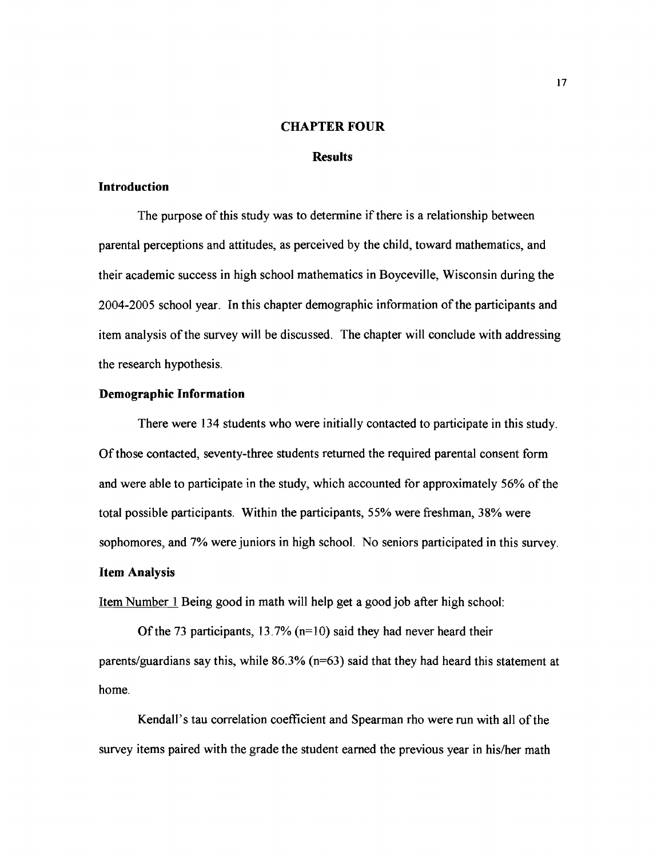#### **CHAPTER FOUR**

#### **Results**

## **Introduction**

The purpose of this study was to determine if there is a relationship between parental perceptions and attitudes, as perceived by the child, toward mathematics, and their academic success in high school mathematics in Boyceville, Wisconsin during the 2004-2005 school year. In this chapter demographic information of the participants and item analysis of the survey will be discussed. The chapter will conclude with addressing the research hypothesis.

## **Demographic Information**

There were 134 students who were initially contacted to participate in this study. Of those contacted, seventy-three students returned the required parental consent form and were able to participate in the study, which accounted for approximately 56% of the total possible participants. Within the participants, 55% were freshman, 38% were sophomores, and 7% were juniors in high school. No seniors participated in this survey. **Item Analysis** 

Item Number 1 Being good in math will help get a good job after high school:

Of the 73 participants,  $13.7\%$  (n=10) said they had never heard their parents/guardians say this, while  $86.3\%$  (n=63) said that they had heard this statement at home.

Kendall's tau correlation coefficient and Spearman rho were run with all of the survey items paired with the grade the student earned the previous year in his/her math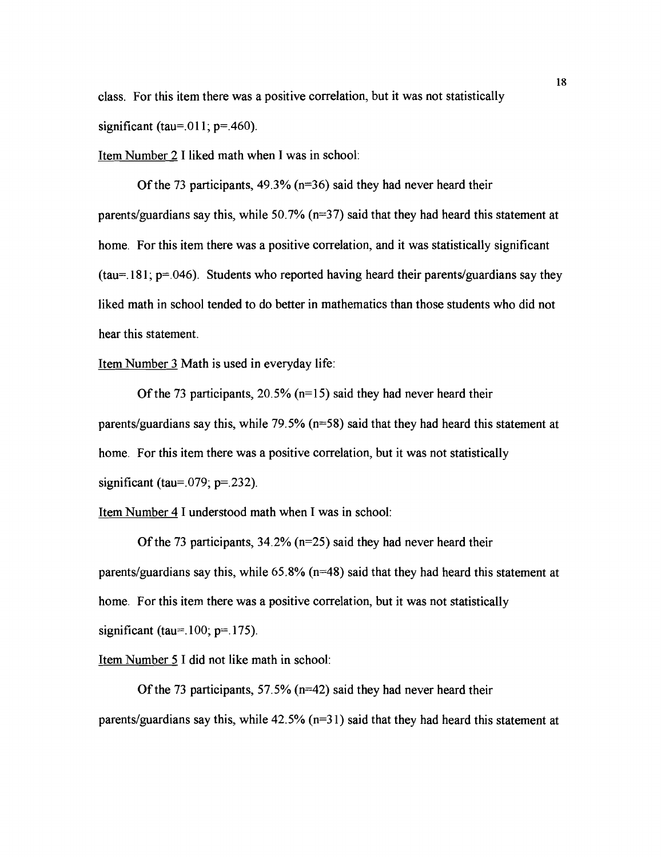class. For this item there was a positive correlation, but it was not statistically significant (tau=.011;  $p=$ .460).

Item Number 2 I liked math when I was in school:

Of the 73 participants,  $49.3\%$  (n=36) said they had never heard their parents/guardians say this, while 50.7% ( $n=37$ ) said that they had heard this statement at home. For this item there was a positive correlation, and it was statistically significant (tau=. 181;  $p=0.046$ ). Students who reported having heard their parents/guardians say they liked math in school tended to do better in mathematics than those students who did not hear this statement.

Item Number 3 Math is used in everyday life:

Of the 73 participants,  $20.5\%$  (n=15) said they had never heard their parents/guardians say this, while  $79.5\%$  (n=58) said that they had heard this statement at home. For this item there was a positive correlation, but it was not statistically significant (tau=.079;  $p=$ .232).

Item Number 4 I understood math when I was in school:

Of the 73 participants, 34.2% (n=25) said they had never heard their parents/guardians say this, while 65.8% ( $n=48$ ) said that they had heard this statement at home. For this item there was a positive correlation, but it was not statistically significant (tau= $.100$ ; p= $.175$ ).

Item Number 5 I did not like math in school:

Of the 73 participants, 57.5% ( $n=42$ ) said they had never heard their parents/guardians say this, while  $42.5\%$  (n=31) said that they had heard this statement at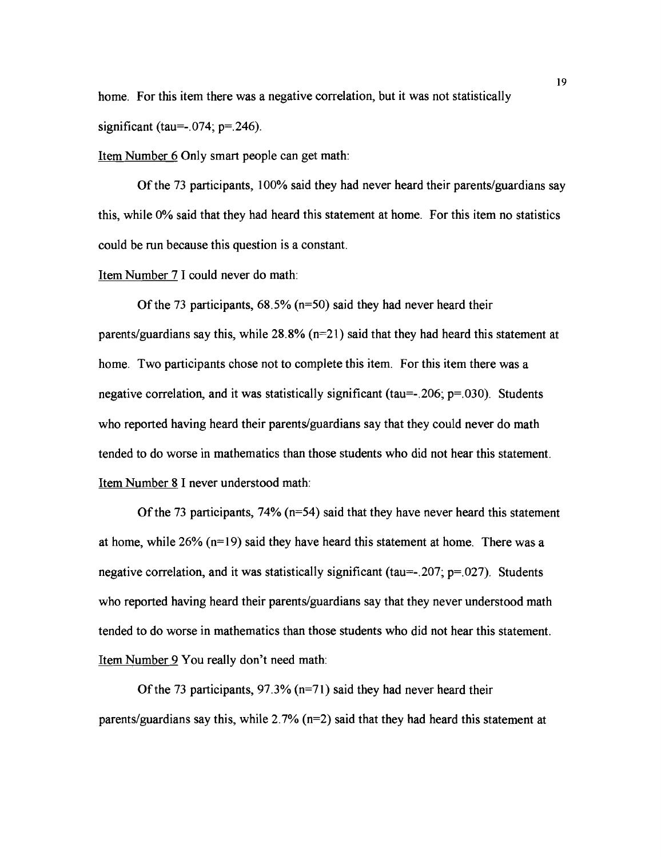home. For this item there was a negative correlation, but it was not statistically significant (tau= $-0.074$ ; p= $-246$ ).

Item Number 6 Only smart people can get math:

Of the 73 participants, 100% said they had never heard their parents/guardians say this, while 0% said that they had heard this statement at home. For this item no statistics could be run because this question is a constant.

Item Number 7 I could never do math:

Of the 73 participants,  $68.5\%$  (n=50) said they had never heard their parents/guardians say this, while  $28.8\%$  (n=21) said that they had heard this statement at home. Two participants chose not to complete this item. For this item there was a negative correlation, and it was statistically significant (tau= $-206$ ; p= $030$ ). Students who reported having heard their parents/guardians say that they could never do math tended to do worse in mathematics than those students who did not hear this statement. Item Number 8 I never understood math:

Of the 73 participants,  $74\%$  (n=54) said that they have never heard this statement at home, while  $26\%$  (n=19) said they have heard this statement at home. There was a negative correlation, and it was statistically significant (tau =  $-207$ ; p= $027$ ). Students who reported having heard their parents/guardians say that they never understood math tended to do worse in mathematics than those students who did not hear this statement. Item Number 9 You really don't need math:

Of the 73 participants,  $97.3\%$  (n=71) said they had never heard their parents/guardians say this, while  $2.7\%$  (n=2) said that they had heard this statement at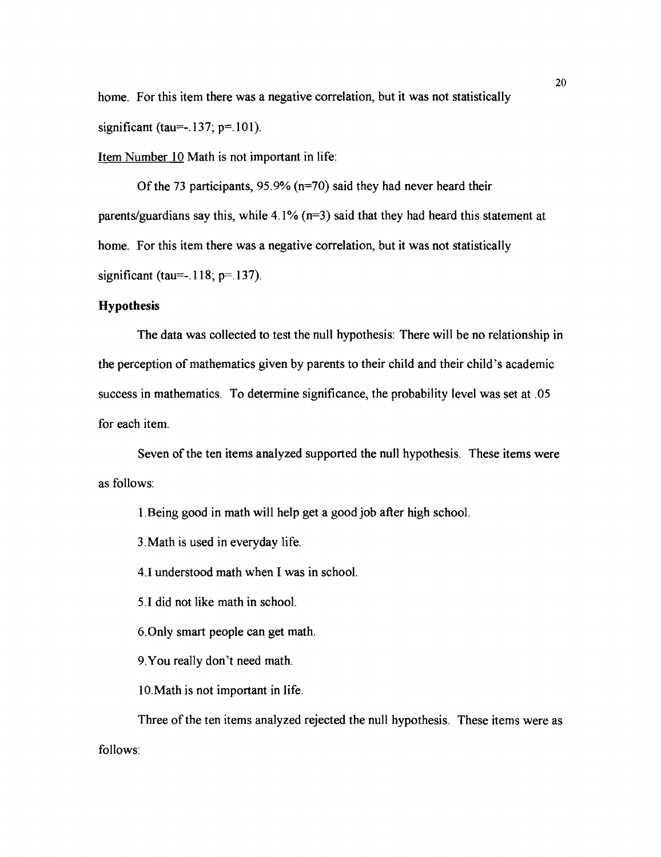home. For this item there was a negative correlation, but it was not statistically significant (tau=-.137;  $p=101$ ).

Item Number 10 Math is not important in life:

Of the 73 participants, 95.9% ( $n=70$ ) said they had never heard their parents/guardians say this, while  $4.1\%$  (n=3) said that they had heard this statement at home. For this item there was a negative correlation, but it was not statistically significant (tau= $-.118$ ; p= $.137$ ).

## **Hypothesis**

The data was collected to test the null hypothesis: There will be no relationship in the perception of mathematics given by parents to their child and their child's academic success in mathematics. To determine significance, the probability level was set at .05 for each item.

Seven of the ten items analyzed supported the null hypothesis. These items were as follows:

1 .Being good in math will help get a good job after high school.

3.Math is used in everyday life.

4.1 understood math when I was in school.

5.1 did not like math in school.

6.0nly smart people can get math.

9.You really don't need math.

10.Math is not important in life.

Three of the ten items analyzed rejected the null hypothesis. These items were as follows: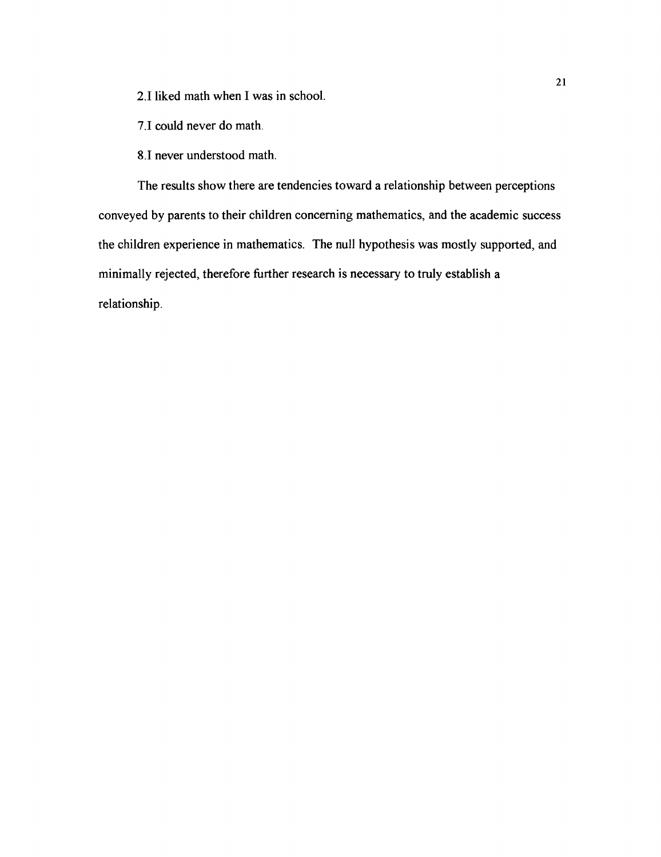2.1 liked math when I was in school.

7.1 could never do math.

8.1 never understood math.

The results show there are tendencies toward a relationship between perceptions conveyed by parents to their children concerning mathematics, and the academic success the children experience in mathematics. The null hypothesis was mostly supported, and minimally rejected, therefore hrther research is necessary to truly establish a relationship.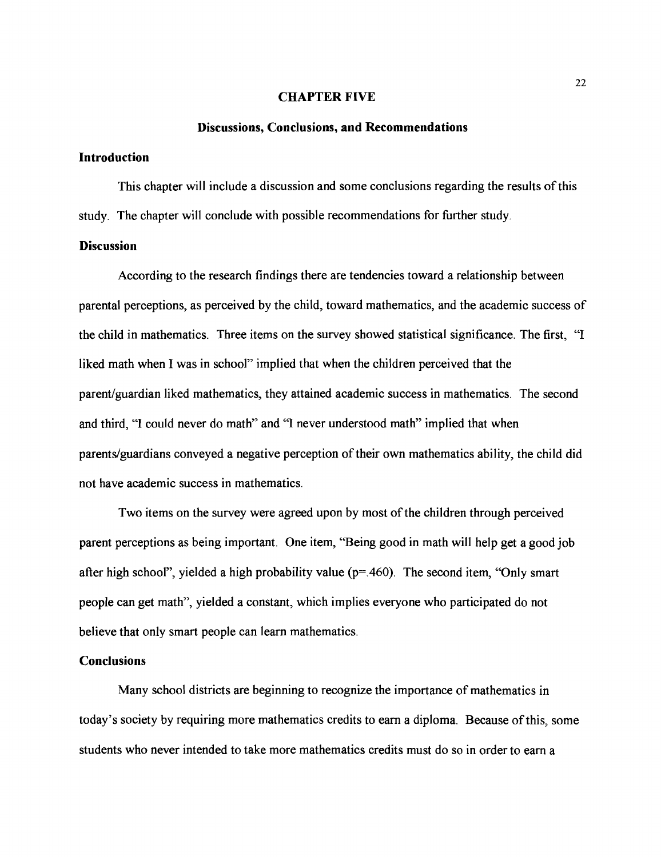#### **CHAPTER FIVE**

#### **Discussions, Conclusions, and Recommendations**

### **Introduction**

This chapter will include a discussion and some conclusions regarding the results of this study. The chapter will conclude with possible recommendations for further study.

## **Discussion**

According to the research findings there are tendencies toward a relationship between parental perceptions, as perceived by the child, toward mathematics, and the academic success of the child in mathematics. Three items on the survey showed statistical significance. The first, "I liked math when I was in school" implied that when the children perceived that the parent/guardian liked mathematics, they attained academic success in mathematics. The second and third, "I could never do math" and "I never understood math" implied that when parentslguardians conveyed a negative perception of their own mathematics ability, the child did not have academic success in mathematics.

Two items on the survey were agreed upon by most of the children through perceived parent perceptions as being important. One item, "Being good in math will help get a good job after high school", yielded a high probability value ( $p=460$ ). The second item, "Only smart people can get math", yielded a constant, which implies everyone who participated do not believe that only smart people can learn mathematics.

#### **Conclusions**

Many school districts are beginning to recognize the importance of mathematics in today's society by requiring more mathematics credits to earn a diploma. Because of this, some students who never intended to take more mathematics credits must do so in order to earn a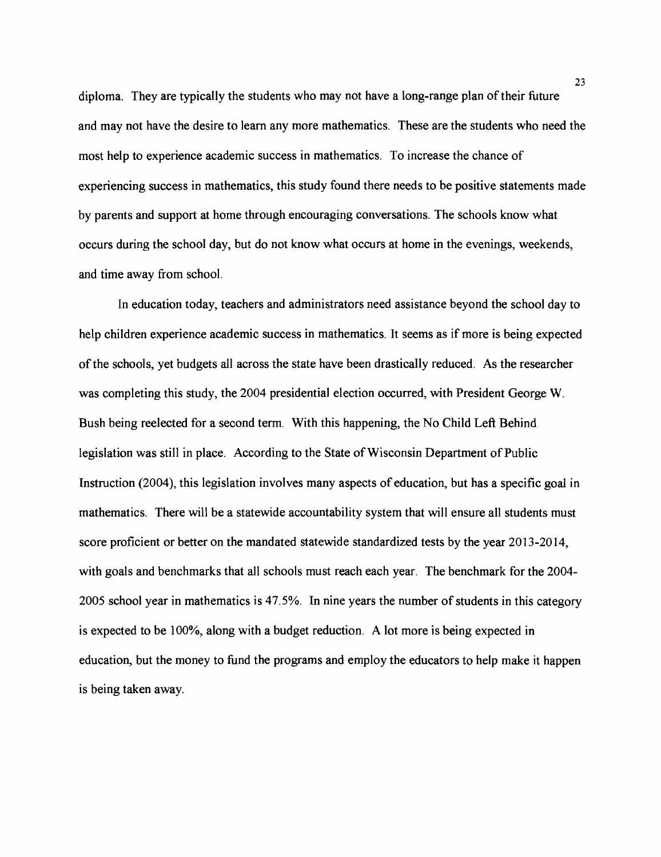diploma, They are typically the students who may not have a long-range plan of their future and may not have the desire to learn any more mathematics. These are the students who need the most help to experience academic success in mathematics. To increase the chance of experiencing success in mathematics, this study found there needs to be positive statements made by parents and support at home through encouraging conversations. The schools know what occurs during the school day, but do not know what occurs at home in the evenings, weekends, and time away from school.

In education today, teachers and administrators need assistance beyond the school day to help children experience academic success in mathematics. It seems as if more is being expected of the schools, yet budgets all across the state have been drastically reduced. As the researcher was completing this study, the 2004 presidential election occurred, with President George W. Bush being reelected for a second term. With this happening, the No Child LeR Behind legislation was still in place. According to the State of Wisconsin Department of Public Instruction (2004), this legislation involves many aspects of education, but has a specific goal in mathematics. There will be a statewide accountability system that will ensure all students must score proficient or better on the mandated statewide standardized tests by the year 2013-2014, with goals and benchmarks that all schools must reach each year. The benchmark for the 2004- 2005 school year in mathematics is 47.5%. In nine years the number of students in this category is expected to be loo%, along with a budget reduction. A lot more is being expected in education, but the money to fund the programs and employ the educators to help make it happen is being taken away.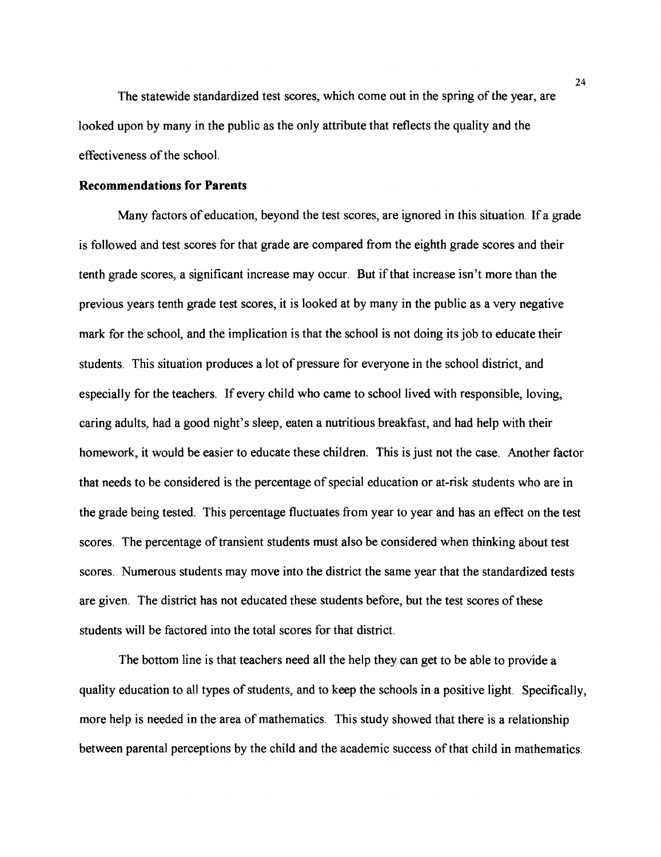The statewide standardized test scores, which come out in the spring of the year, are looked upon by many in the public as the only attribute that reflects the quality and the effectiveness of the school.

# **Recommendations for Parents**

Many factors of education, beyond the test scores, are ignored in this situation. If a grade is followed and test scores for that grade are compared from the eighth grade scores and their tenth grade scores, a significant increase may occur. But if that increase isn't more than the previous years tenth grade test scores, it is looked at by many in the public as a very negative mark for the school, and the implication is that the school is not doing its job to educate their students. This situation produces a lot of pressure for everyone in the school district, and especially for the teachers. If every child who came to school lived with responsible, loving, caring adults, had a good night's sleep, eaten a nutritious breakfast, and had help with their homework, it would be easier to educate these children. This is just not the case. Another factor that needs to be considered is the percentage of special education or at-risk students who are in the grade being tested. This percentage fluctuates from year to year and has an effect on the test scores. The percentage of transient students must also be considered when thinking about test scores. Numerous students may move into the district the same year that the standardized tests are given. The district has not educated these students before, but the test scores of these students will be factored into the total scores for that district.

The bottom line is that teachers need all the help they can get to be able to provide a quality education to all types of students, and to keep the schools in a positive light. Specifically, more help is needed in the area of mathematics. This study showed that there is a relationship between parental perceptions by the child and the academic success of that child in mathematics.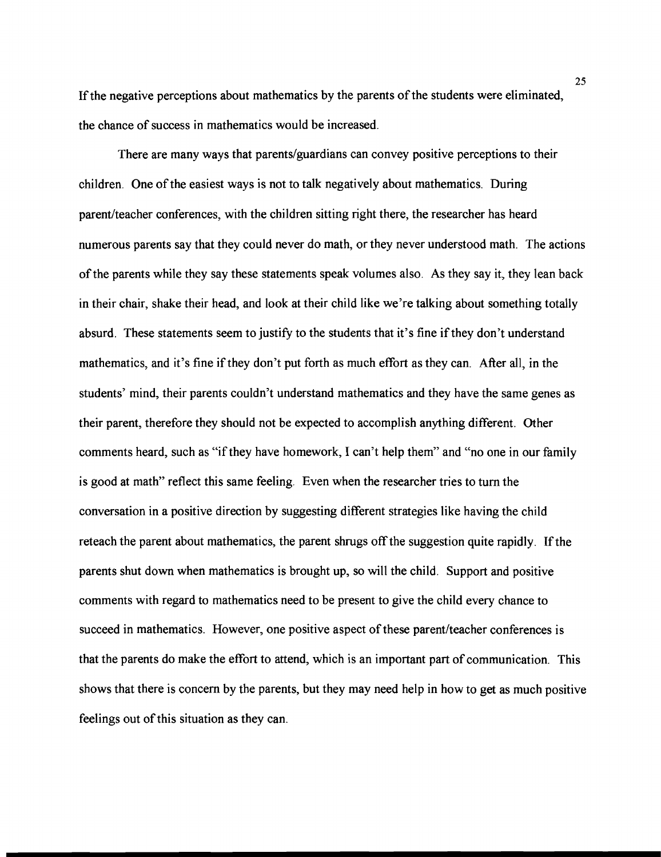If the negative perceptions about mathematics by the parents of the students were eliminated, the chance of success in mathematics would be increased.

There are many ways that parents/guardians can convey positive perceptions to their children. One of the easiest ways is not to talk negatively about mathematics. During parent/teacher conferences, with the children sitting right there, the researcher has heard numerous parents say that they could never do math, or they never understood math. The actions of the parents while they say these statements speak volumes also. As they say it, they lean back in their chair, shake their head, and look at their child like we're talking about something totally absurd. These statements seem to justify to the students that it's fine if they don't understand mathematics, and it's fine if they don't put forth as much effort as they can. After all, in the students' mind, their parents couldn't understand mathematics and they have the same genes as their parent, therefore they should not be expected to accomplish anything different. Other comments heard, such as "if they have homework, I can't help them" and "no one in our family is good at math" reflect this same feeling. Even when the researcher tries to turn the conversation in a positive direction by suggesting different strategies like having the child reteach the parent about mathematics, the parent shrugs off the suggestion quite rapidly. If the parents shut down when mathematics is brought up, so will the child. Support and positive comments with regard to mathematics need to be present to give the child every chance to succeed in mathematics. However, one positive aspect of these parent/teacher conferences is that the parents do make the effort to attend, which is an important part of communication. This shows that there is concern by the parents, but they may need help in how to get as much positive feelings out of this situation as they can.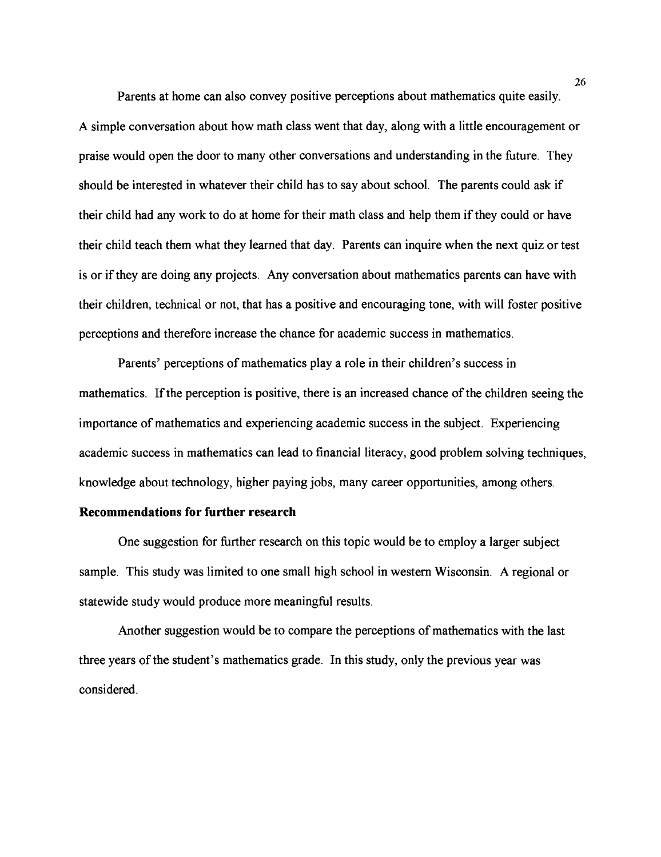Parents at home can also convey positive perceptions about mathematics quite easily. A simple conversation about how math class went that day, along with a little encouragement or praise would open the door to many other conversations and understanding in the future. They should be interested in whatever their child has to say about school. The parents could ask if their child had any work to do at home for their math class and help them if they could or have their child teach them what they learned that day. Parents can inquire when the next quiz or test is or if they are doing any projects. Any conversation about mathematics parents can have with their children, technical or not, that has a positive and encouraging tone, with will foster positive perceptions and therefore increase the chance for academic success in mathematics.

Parents' perceptions of mathematics play a role in their children's success in mathematics. If the perception is positive, there is an increased chance of the children seeing the importance of mathematics and experiencing academic success in the subject. Experiencing academic success in mathematics can lead to financial literacy, good problem solving techniques, knowledge about technology, higher paying jobs, many career opportunities, among others.

## **Recommendations for further research**

One suggestion for further research on this topic would be to employ a larger subject sample. This study was limited to one small high school in western Wisconsin. A regional or statewide study would produce more meaningful results.

Another suggestion would be to compare the perceptions of mathematics with the last three years of the student's mathematics grade. In this study, only the previous year was considered.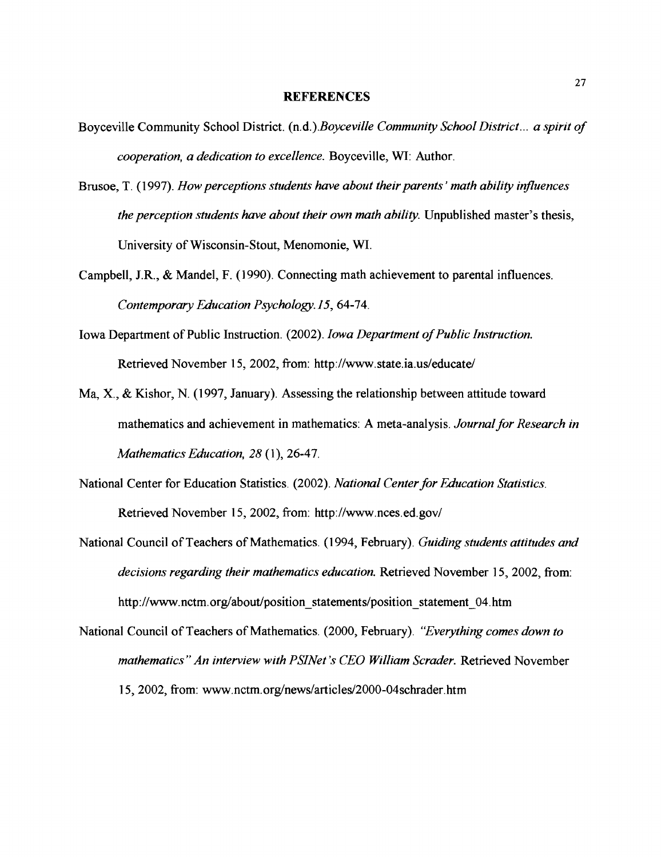#### **REFERENCES**

- Boyceville Community School District. *(n.d.).Boyceville Community School District* ... *a spirit of cooperation, a dedication to excellence.* Boyceville, **WI:** Author.
- Brusoe, T. (1 997). *How perceptions students have about their parents* ' *math ability influences the perception students have about their own math ability.* Unpublished master's thesis, University of Wisconsin-Stout, Menomonie, **WI.**
- Campbell, J.R., & Mandel, F. (1990). Connecting math achievement to parental influences. *Contemporary Education P~ychology.* 15,64-74.
- Iowa Department of Public Instruction. (2002). *Iowa Department of Public Instruction.*  Retrieved November 15, 2002, from: http://www.state.ia.us/educate/
- Ma, X., & Kishor, N. (1997, January). Assessing the relationship between attitude toward mathematics and achievement in mathematics: *A* meta-analysis. *Journal for Research in Mathematics Education, 28* (1 ), 26-47.
- National Center for Education Statistics. (2002). *National Center for Education Statistics.*  Retrieved November 15, 2002, from: http://www.nces.ed.gov/
- National Council of Teachers of Mathematics. (1 994, February). *Guiding students attitudes and decisions regarding their mathematics education.* Retrieved November 15, 2002, from: http://www.nctm.org/about/position statements/position statement 04.htm
- National Council of Teachers of Mathematics. (2000, February). *"Everything comes down to mathematics" An interview with PSINet 's CEO William Scrader.* Retrieved November 15, 2002, from: www.nctm.org/news/articles/2000-04schrader.htm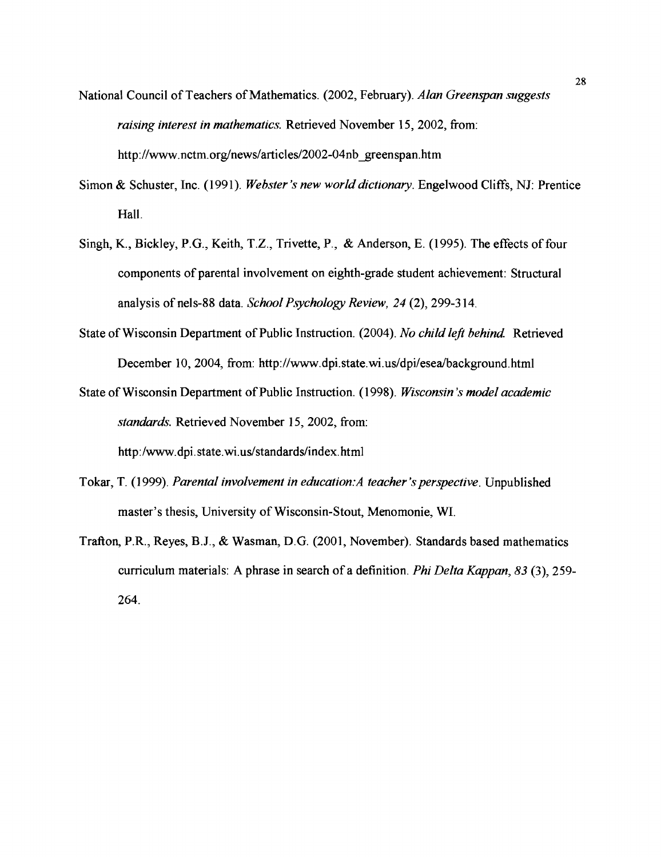- National Council of Teachers of Mathematics. (2002, February). *Alan Greenspan suggests raising interest in mathematics.* Retrieved November 15,2002, from: http://www.nctm.org/news/articles/2002-04nb greenspan.htm
- Simon & Schuster, Inc. (1991). *Webster 's new world dictionay.* Engelwood Cliffs, NJ: Prentice Hall.
- Singh, K., Bickley, P.G., Keith, T.Z., Trivette, P., & Anderson, E. (1995). The effects of four components of parental involvement on eighth-grade student achievement: Structural analysis of nels-88 data. *School Psychology Review, 24* (2), 299-3 14.
- State of Wisconsin Department of Public Instruction. (2004). *No child left behind* Retrieved December 10, 2004, from: http://www.dpi.state.wi.us/dpi/esea/background.html
- State of Wisconsin Department of Public Instruction. (1 998). *Wisconsin 's model academic standards.* Retrieved November 15, 2002, from:

http:/www.dpi. **state.wi.us/standards/index.** html

- Tokar, T. (1999). *Parental involvement in education: A teacher's perspective*. Unpublished master's thesis, University of Wisconsin-Stout, Menomonie, **WI.**
- Trafton, P.R., Reyes, B.J., & Wasman, D.G. (2001, November). Standards based mathematics curriculum materials: A phrase in search of a definition. *Phi Delta Kappan, 83* (3), 259- 264.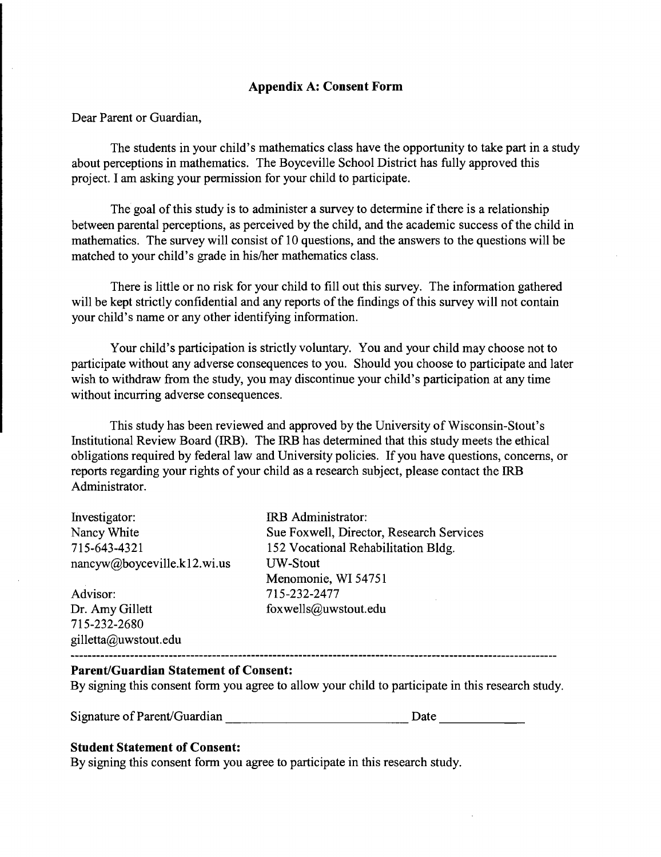# **Appendix A: Consent Form**

Dear Parent or Guardian,

The students in your child's mathematics class have the opportunity to take part in a study about perceptions in mathematics. The Boyceville School District has fully approved this project. I am asking your permission for your child to participate.

The goal of this study is to administer a survey to determine if there is a relationship between parental perceptions, as perceived by the child, and the academic success of the child in mathematics. The survey will consist of 10 questions, and the answers to the questions will be matched to your child's grade in his/her mathematics class.

There is little or no risk for your child to fill out this survey. The information gathered will be kept strictly confidential and any reports of the findings of this survey will not contain your child's name or any other identifying information.

Your child's participation is strictly voluntary. You and your child may choose not to participate without any adverse consequences to you. Should you choose to participate and later wish to withdraw from the study, you may discontinue your child's participation at any time without incurring adverse consequences.

This study has been reviewed and approved by the University of Wisconsin-Stout's Institutional Review Board (IRB). The IRB has determined that this study meets the ethical obligations required by federal law and University policies. If you have questions, concerns, or reports regarding your rights of your child as a research subject, please contact the IRB Administrator.

| Investigator:               | IRB Administrator:     |
|-----------------------------|------------------------|
| Nancy White                 | Sue Foxwell, Director, |
| 715-643-4321                | 152 Vocational Rehabil |
| nancyw@boyceville.k12.wi.us | <b>UW-Stout</b>        |
|                             | Menomonie, WI 54751    |
| Advisor:                    | 715-232-2477           |
| Dr. Amy Gillett             | foxwells@uwstout.edu   |

71 5-232-2680 gilletta@uwstout.edu

, Research Services vilitation Bldg. Menomonie, WI 5475 1

## **Parent/Guardian Statement of Consent:**

By signing this consent form you agree to allow your child to participate in this research study.

Signature of Parent/Guardian Date Date

## **Student Statement of Consent:**

By signing this consent form you agree to participate in this research study.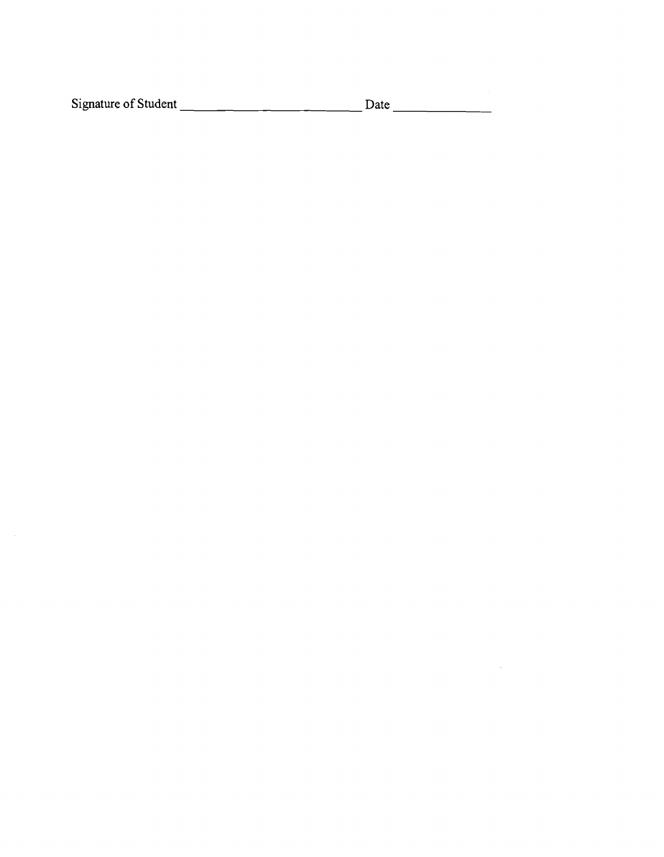Signature of Student Date

 $\mathcal{L}_{\text{max}}$ 

 $\sim 10$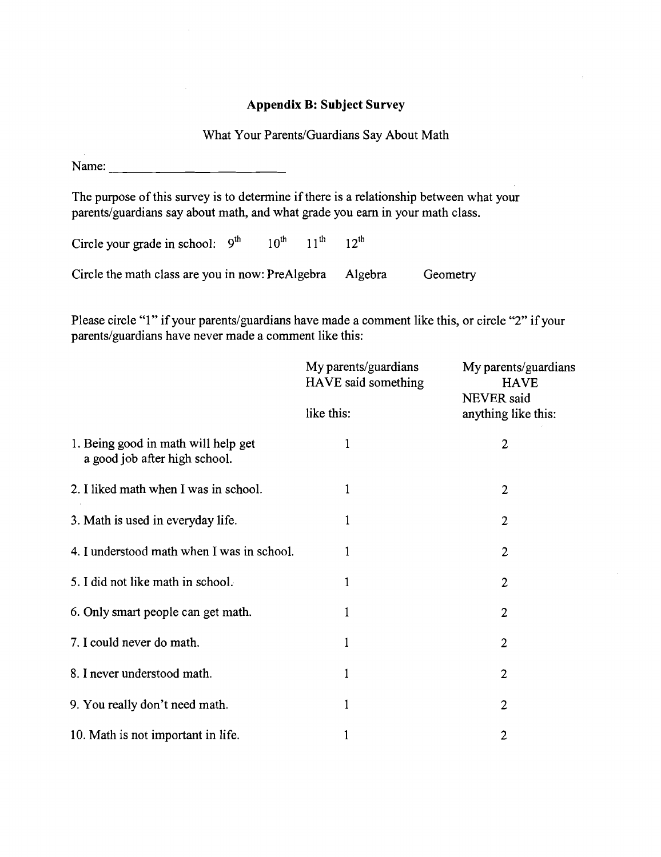## **Appendix B: Subject Survey**

## What Your Parents/Guardians Say About Math

Name:

The purpose of this survey is to determine if there is a relationship between what your parents/guardians say about math, and what grade you earn in your math class.

Circle your grade in school:  $9^{th}$  10<sup>th</sup> 11<sup>th</sup> 12<sup>th</sup>

Circle the math class are you in now: PreAlgebra Algebra Geometry

Please circle "1" if your parents/guardians have made a comment like this, or circle "2" if your parents/guardians have never made a comment like this:

|                                                                      | My parents/guardians<br>HAVE said something | My parents/guardians<br><b>HAVE</b><br><b>NEVER</b> said |  |
|----------------------------------------------------------------------|---------------------------------------------|----------------------------------------------------------|--|
|                                                                      | like this:                                  | anything like this:                                      |  |
| 1. Being good in math will help get<br>a good job after high school. | 1                                           | $\overline{2}$                                           |  |
| 2. I liked math when I was in school.                                | $\mathbf{1}$                                | $\overline{2}$                                           |  |
| 3. Math is used in everyday life.                                    | $\mathbf{1}$                                | $\overline{2}$                                           |  |
| 4. I understood math when I was in school.                           | 1                                           | $\overline{c}$                                           |  |
| 5. I did not like math in school.                                    | 1                                           | $\overline{2}$                                           |  |
| 6. Only smart people can get math.                                   | 1                                           | $\overline{2}$                                           |  |
| 7. I could never do math.                                            | 1                                           | $\overline{2}$                                           |  |
| 8. I never understood math.                                          | 1                                           | $\overline{2}$                                           |  |
| 9. You really don't need math.                                       | 1                                           | $\overline{2}$                                           |  |
| 10. Math is not important in life.                                   | 1                                           | $\mathbf{2}$                                             |  |